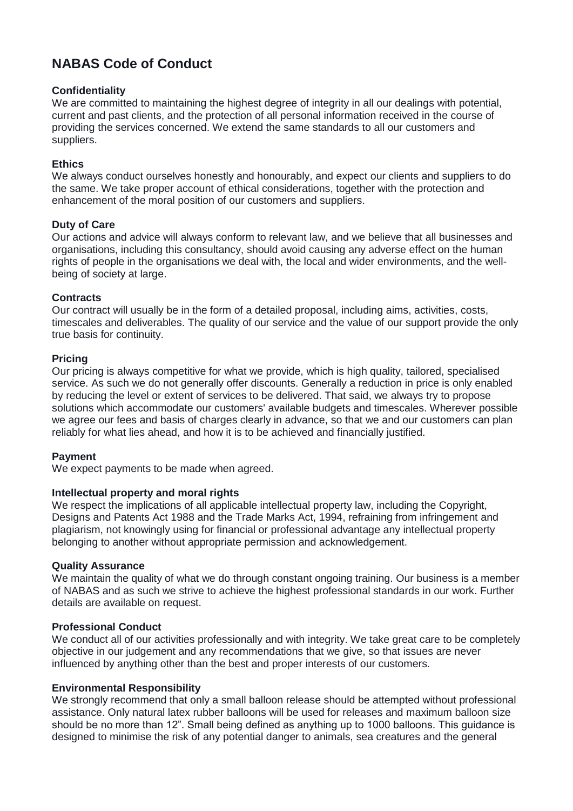# **NABAS Code of Conduct**

# **Confidentiality**

We are committed to maintaining the highest degree of integrity in all our dealings with potential, current and past clients, and the protection of all personal information received in the course of providing the services concerned. We extend the same standards to all our customers and suppliers.

# **Ethics**

We always conduct ourselves honestly and honourably, and expect our clients and suppliers to do the same. We take proper account of ethical considerations, together with the protection and enhancement of the moral position of our customers and suppliers.

## **Duty of Care**

Our actions and advice will always conform to relevant law, and we believe that all businesses and organisations, including this consultancy, should avoid causing any adverse effect on the human rights of people in the organisations we deal with, the local and wider environments, and the wellbeing of society at large.

## **Contracts**

Our contract will usually be in the form of a detailed proposal, including aims, activities, costs, timescales and deliverables. The quality of our service and the value of our support provide the only true basis for continuity.

## **Pricing**

Our pricing is always competitive for what we provide, which is high quality, tailored, specialised service. As such we do not generally offer discounts. Generally a reduction in price is only enabled by reducing the level or extent of services to be delivered. That said, we always try to propose solutions which accommodate our customers' available budgets and timescales. Wherever possible we agree our fees and basis of charges clearly in advance, so that we and our customers can plan reliably for what lies ahead, and how it is to be achieved and financially justified.

#### **Payment**

We expect payments to be made when agreed.

#### **Intellectual property and moral rights**

We respect the implications of all applicable intellectual property law, including the Copyright, Designs and Patents Act 1988 and the Trade Marks Act, 1994, refraining from infringement and plagiarism, not knowingly using for financial or professional advantage any intellectual property belonging to another without appropriate permission and acknowledgement.

#### **Quality Assurance**

We maintain the quality of what we do through constant ongoing training. Our business is a member of NABAS and as such we strive to achieve the highest professional standards in our work. Further details are available on request.

# **Professional Conduct**

We conduct all of our activities professionally and with integrity. We take great care to be completely objective in our judgement and any recommendations that we give, so that issues are never influenced by anything other than the best and proper interests of our customers.

#### **Environmental Responsibility**

We strongly recommend that only a small balloon release should be attempted without professional assistance. Only natural latex rubber balloons will be used for releases and maximum balloon size should be no more than 12". Small being defined as anything up to 1000 balloons. This guidance is designed to minimise the risk of any potential danger to animals, sea creatures and the general